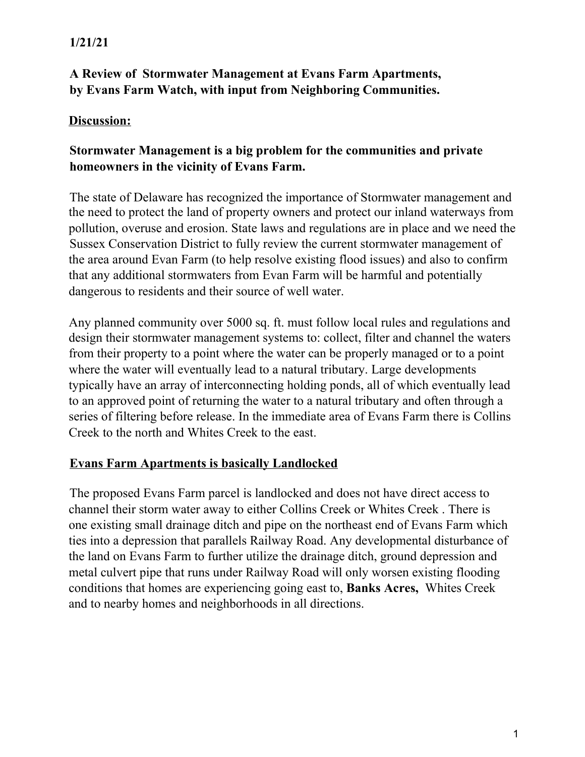# **1/21/21**

# **A Review of Stormwater Management at Evans Farm Apartments, by Evans Farm Watch, with input from Neighboring Communities.**

## **Discussion:**

## **Stormwater Management is a big problem for the communities and private homeowners in the vicinity of Evans Farm.**

The state of Delaware has recognized the importance of Stormwater management and the need to protect the land of property owners and protect our inland waterways from pollution, overuse and erosion. State laws and regulations are in place and we need the Sussex Conservation District to fully review the current stormwater management of the area around Evan Farm (to help resolve existing flood issues) and also to confirm that any additional stormwaters from Evan Farm will be harmful and potentially dangerous to residents and their source of well water.

Any planned community over 5000 sq. ft. must follow local rules and regulations and design their stormwater management systems to: collect, filter and channel the waters from their property to a point where the water can be properly managed or to a point where the water will eventually lead to a natural tributary. Large developments typically have an array of interconnecting holding ponds, all of which eventually lead to an approved point of returning the water to a natural tributary and often through a series of filtering before release. In the immediate area of Evans Farm there is Collins Creek to the north and Whites Creek to the east.

## **Evans Farm Apartments is basically Landlocked**

The proposed Evans Farm parcel is landlocked and does not have direct access to channel their storm water away to either Collins Creek or Whites Creek . There is one existing small drainage ditch and pipe on the northeast end of Evans Farm which ties into a depression that parallels Railway Road. Any developmental disturbance of the land on Evans Farm to further utilize the drainage ditch, ground depression and metal culvert pipe that runs under Railway Road will only worsen existing flooding conditions that homes are experiencing going east to, **Banks Acres,** Whites Creek and to nearby homes and neighborhoods in all directions.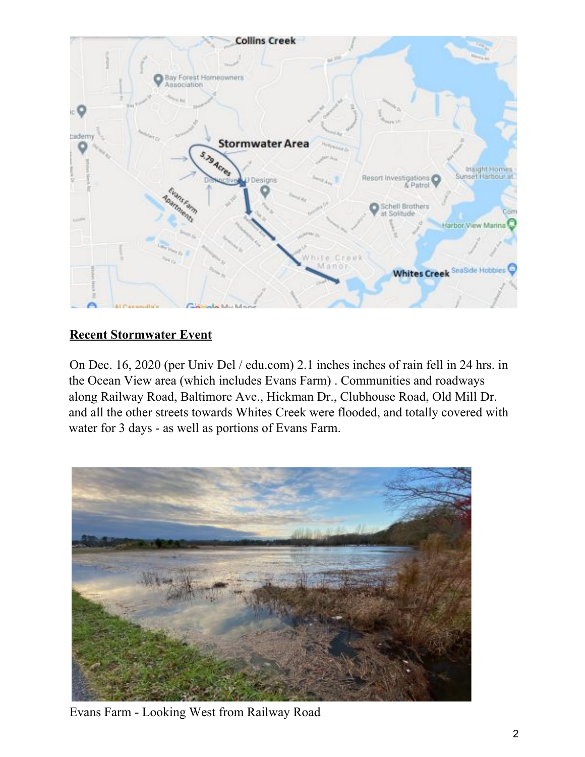

# **Recent Stormwater Event**

On Dec. 16, 2020 (per Univ Del / edu.com) 2.1 inches inches of rain fell in 24 hrs. in the Ocean View area (which includes Evans Farm) . Communities and roadways along Railway Road, Baltimore Ave., Hickman Dr., Clubhouse Road, Old Mill Dr. and all the other streets towards Whites Creek were flooded, and totally covered with water for 3 days - as well as portions of Evans Farm.



Evans Farm - Looking West from Railway Road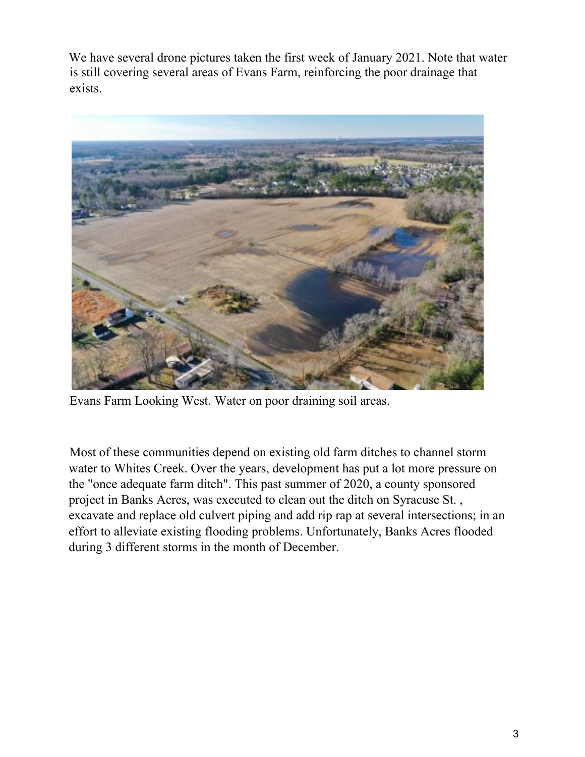We have several drone pictures taken the first week of January 2021. Note that water is still covering several areas of Evans Farm, reinforcing the poor drainage that exists.



Evans Farm Looking West. Water on poor draining soil areas.

Most of these communities depend on existing old farm ditches to channel storm water to Whites Creek. Over the years, development has put a lot more pressure on the "once adequate farm ditch". This past summer of 2020, a county sponsored project in Banks Acres, was executed to clean out the ditch on Syracuse St. , excavate and replace old culvert piping and add rip rap at several intersections; in an effort to alleviate existing flooding problems. Unfortunately, Banks Acres flooded during 3 different storms in the month of December.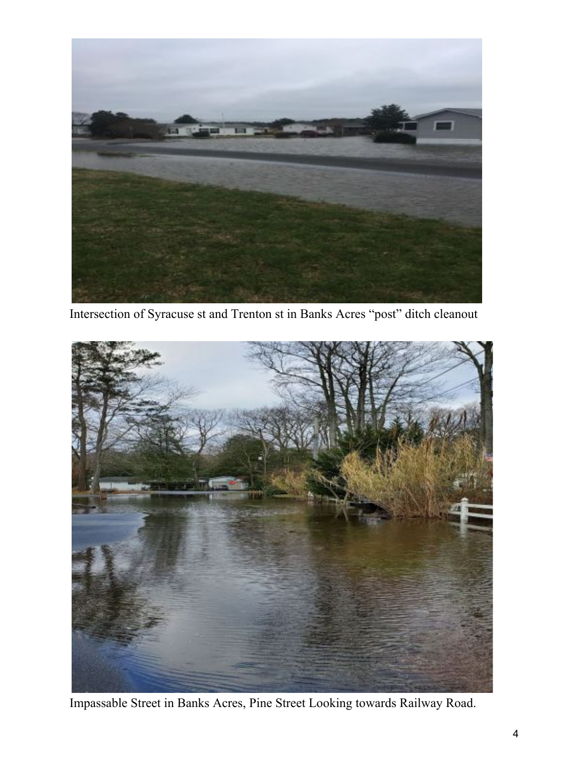

Intersection of Syracuse st and Trenton st in Banks Acres "post" ditch cleanout



Impassable Street in Banks Acres, Pine Street Looking towards Railway Road.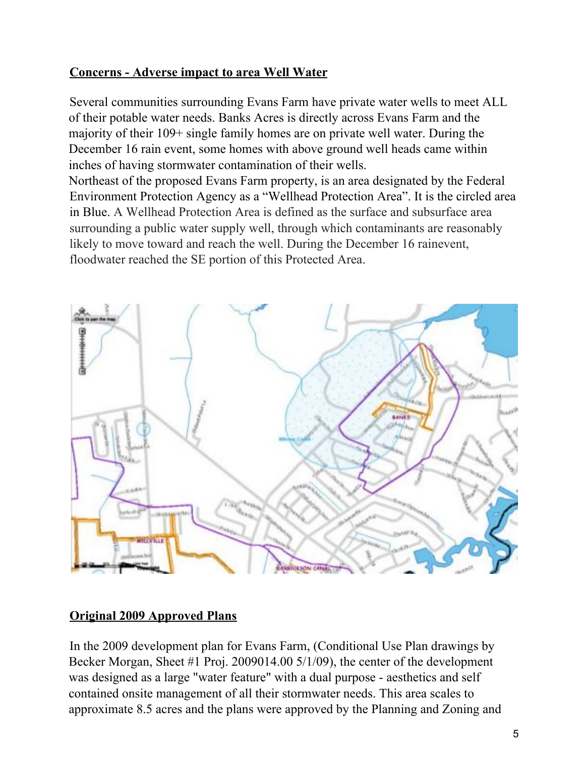# **Concerns - Adverse impact to area Well Water**

Several communities surrounding Evans Farm have private water wells to meet ALL of their potable water needs. Banks Acres is directly across Evans Farm and the majority of their 109+ single family homes are on private well water. During the December 16 rain event, some homes with above ground well heads came within inches of having stormwater contamination of their wells.

Northeast of the proposed Evans Farm property, is an area designated by the Federal Environment Protection Agency as a "Wellhead Protection Area". It is the circled area in Blue. A Wellhead Protection Area is defined as the surface and subsurface area surrounding a public water supply well, through which contaminants are reasonably likely to move toward and reach the well. During the December 16 rainevent, floodwater reached the SE portion of this Protected Area.



## **Original 2009 Approved Plans**

In the 2009 development plan for Evans Farm, (Conditional Use Plan drawings by Becker Morgan, Sheet #1 Proj. 2009014.00 5/1/09), the center of the development was designed as a large "water feature" with a dual purpose - aesthetics and self contained onsite management of all their stormwater needs. This area scales to approximate 8.5 acres and the plans were approved by the Planning and Zoning and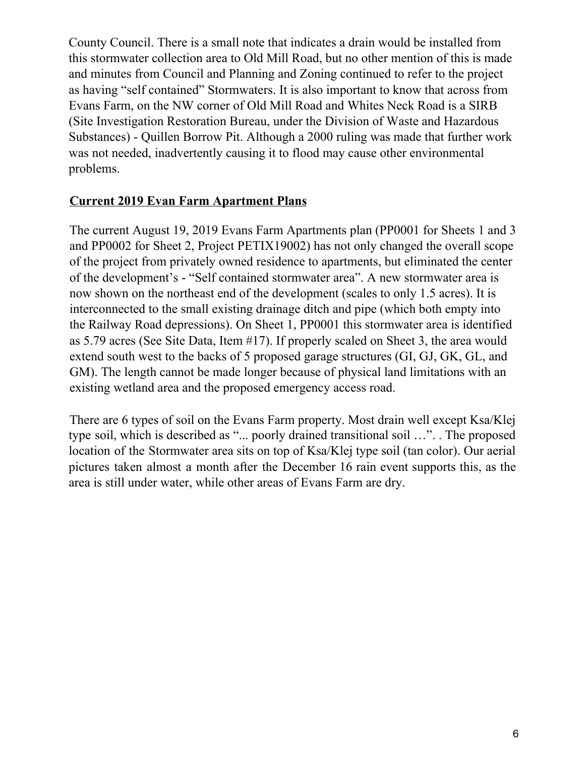County Council. There is a small note that indicates a drain would be installed from this stormwater collection area to Old Mill Road, but no other mention of this is made and minutes from Council and Planning and Zoning continued to refer to the project as having "self contained" Stormwaters. It is also important to know that across from Evans Farm, on the NW corner of Old Mill Road and Whites Neck Road is a SIRB (Site Investigation Restoration Bureau, under the Division of Waste and Hazardous Substances) - Quillen Borrow Pit. Although a 2000 ruling was made that further work was not needed, inadvertently causing it to flood may cause other environmental problems.

## **Current 2019 Evan Farm Apartment Plans**

The current August 19, 2019 Evans Farm Apartments plan (PP0001 for Sheets 1 and 3 and PP0002 for Sheet 2, Project PETIX19002) has not only changed the overall scope of the project from privately owned residence to apartments, but eliminated the center of the development's - "Self contained stormwater area". A new stormwater area is now shown on the northeast end of the development (scales to only 1.5 acres). It is interconnected to the small existing drainage ditch and pipe (which both empty into the Railway Road depressions). On Sheet 1, PP0001 this stormwater area is identified as 5.79 acres (See Site Data, Item #17). If properly scaled on Sheet 3, the area would extend south west to the backs of 5 proposed garage structures (GI, GJ, GK, GL, and GM). The length cannot be made longer because of physical land limitations with an existing wetland area and the proposed emergency access road.

There are 6 types of soil on the Evans Farm property. Most drain well except Ksa/Klej type soil, which is described as "... poorly drained transitional soil …". . The proposed location of the Stormwater area sits on top of Ksa/Klej type soil (tan color). Our aerial pictures taken almost a month after the December 16 rain event supports this, as the area is still under water, while other areas of Evans Farm are dry.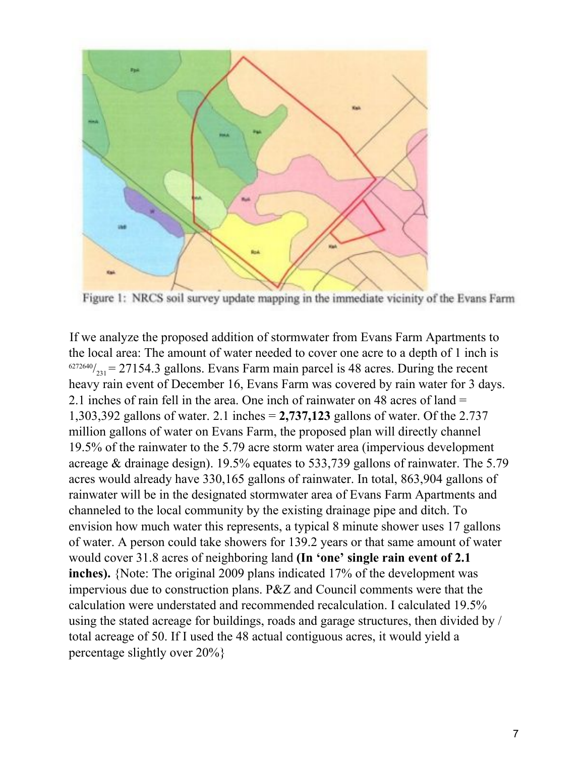

Figure 1: NRCS soil survey update mapping in the immediate vicinity of the Evans Farm

If we analyze the proposed addition of stormwater from Evans Farm Apartments to the local area: The amount of water needed to cover one acre to a depth of 1 inch is  $^{6272640}/_{231}$  = 27154.3 gallons. Evans Farm main parcel is 48 acres. During the recent heavy rain event of December 16, Evans Farm was covered by rain water for 3 days. 2.1 inches of rain fell in the area. One inch of rainwater on 48 acres of land = 1,303,392 gallons of water. 2.1 inches = **2,737,123** gallons of water. Of the 2.737 million gallons of water on Evans Farm, the proposed plan will directly channel 19.5% of the rainwater to the 5.79 acre storm water area (impervious development acreage & drainage design). 19.5% equates to 533,739 gallons of rainwater. The 5.79 acres would already have 330,165 gallons of rainwater. In total, 863,904 gallons of rainwater will be in the designated stormwater area of Evans Farm Apartments and channeled to the local community by the existing drainage pipe and ditch. To envision how much water this represents, a typical 8 minute shower uses 17 gallons of water. A person could take showers for 139.2 years or that same amount of water would cover 31.8 acres of neighboring land **(In 'one' single rain event of 2.1 inches).** {Note: The original 2009 plans indicated 17% of the development was impervious due to construction plans. P&Z and Council comments were that the calculation were understated and recommended recalculation. I calculated 19.5% using the stated acreage for buildings, roads and garage structures, then divided by / total acreage of 50. If I used the 48 actual contiguous acres, it would yield a percentage slightly over 20%}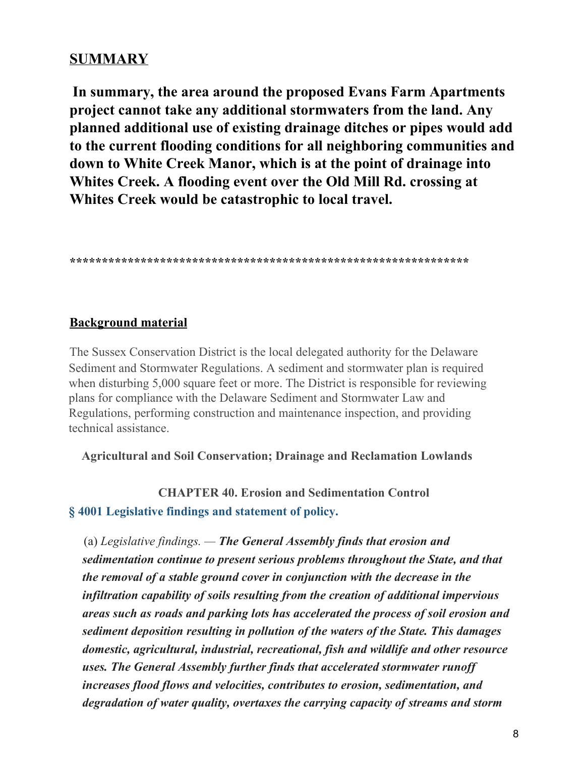# **SUMMARY**

**In summary, the area around the proposed Evans Farm Apartments project cannot take any additional stormwaters from the land. Any planned additional use of existing drainage ditches or pipes would add to the current flooding conditions for all neighboring communities and down to White Creek Manor, which is at the point of drainage into Whites Creek. A flooding event over the Old Mill Rd. crossing at Whites Creek would be catastrophic to local travel.**

**\*\*\*\*\*\*\*\*\*\*\*\*\*\*\*\*\*\*\*\*\*\*\*\*\*\*\*\*\*\*\*\*\*\*\*\*\*\*\*\*\*\*\*\*\*\*\*\*\*\*\*\*\*\*\*\*\*\*\*\*\*\***

## **Background material**

The Sussex Conservation District is the local delegated authority for the Delaware Sediment and Stormwater Regulations. A sediment and stormwater plan is required when disturbing 5,000 square feet or more. The District is responsible for reviewing plans for compliance with the Delaware Sediment and Stormwater Law and Regulations, performing construction and maintenance inspection, and providing technical assistance.

### **Agricultural and Soil Conservation; Drainage and Reclamation Lowlands**

**CHAPTER 40. Erosion and Sedimentation Control § 4001 Legislative findings and statement of policy.**

(a) *Legislative findings. — The General Assembly finds that erosion and sedimentation continue to present serious problems throughout the State, and that the removal of a stable ground cover in conjunction with the decrease in the infiltration capability of soils resulting from the creation of additional impervious areas such as roads and parking lots has accelerated the process of soil erosion and sediment deposition resulting in pollution of the waters of the State. This damages domestic, agricultural, industrial, recreational, fish and wildlife and other resource uses. The General Assembly further finds that accelerated stormwater runof increases flood flows and velocities, contributes to erosion, sedimentation, and degradation of water quality, overtaxes the carrying capacity of streams and storm*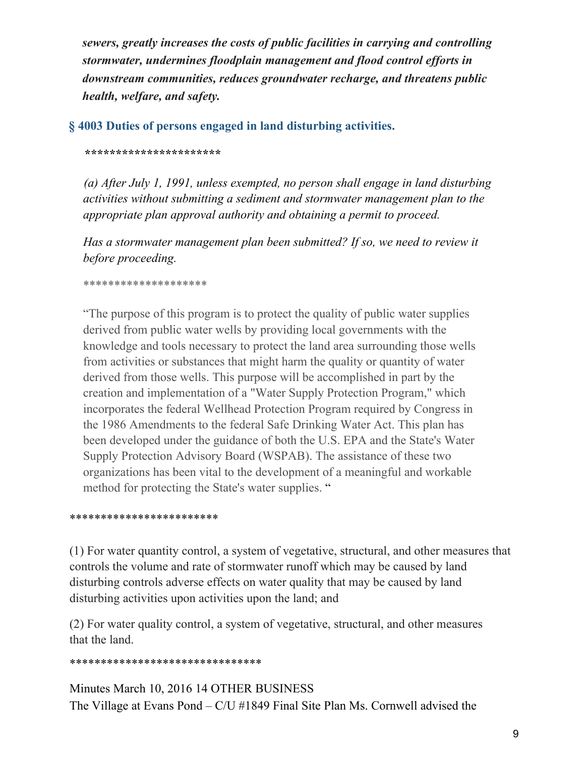*sewers, greatly increases the costs of public facilities in carrying and controlling stormwater, undermines floodplain management and flood control ef orts in downstream communities, reduces groundwater recharge, and threatens public health, welfare, and safety.*

## **§ 4003 Duties of persons engaged in land disturbing activities.**

### *\*\*\*\*\*\*\*\*\*\*\*\*\*\*\*\*\*\*\*\*\*\**

*(a) After July 1, 1991, unless exempted, no person shall engage in land disturbing activities without submitting a sediment and stormwater management plan to the appropriate plan approval authority and obtaining a permit to proceed.*

*Has a stormwater management plan been submitted? If so, we need to review it before proceeding.*

### \*\*\*\*\*\*\*\*\*\*\*\*\*\*\*\*\*\*\*\*

"The purpose of this program is to protect the quality of public water supplies derived from public water wells by providing local governments with the knowledge and tools necessary to protect the land area surrounding those wells from activities or substances that might harm the quality or quantity of water derived from those wells. This purpose will be accomplished in part by the creation and implementation of a "Water Supply Protection Program," which incorporates the federal Wellhead Protection Program required by Congress in the 1986 Amendments to the federal Safe Drinking Water Act. This plan has been developed under the guidance of both the U.S. EPA and the State's Water Supply Protection Advisory Board (WSPAB). The assistance of these two organizations has been vital to the development of a meaningful and workable method for protecting the State's water supplies. "

### \*\*\*\*\*\*\*\*\*\*\*\*\*\*\*\*\*\*\*\*\*\*\*\*

(1) For water quantity control, a system of vegetative, structural, and other measures that controls the volume and rate of stormwater runoff which may be caused by land disturbing controls adverse effects on water quality that may be caused by land disturbing activities upon activities upon the land; and

(2) For water quality control, a system of vegetative, structural, and other measures that the land.

### \*\*\*\*\*\*\*\*\*\*\*\*\*\*\*\*\*\*\*\*\*\*\*\*\*\*\*\*\*\*\*

Minutes March 10, 2016 14 OTHER BUSINESS The Village at Evans Pond – C/U #1849 Final Site Plan Ms. Cornwell advised the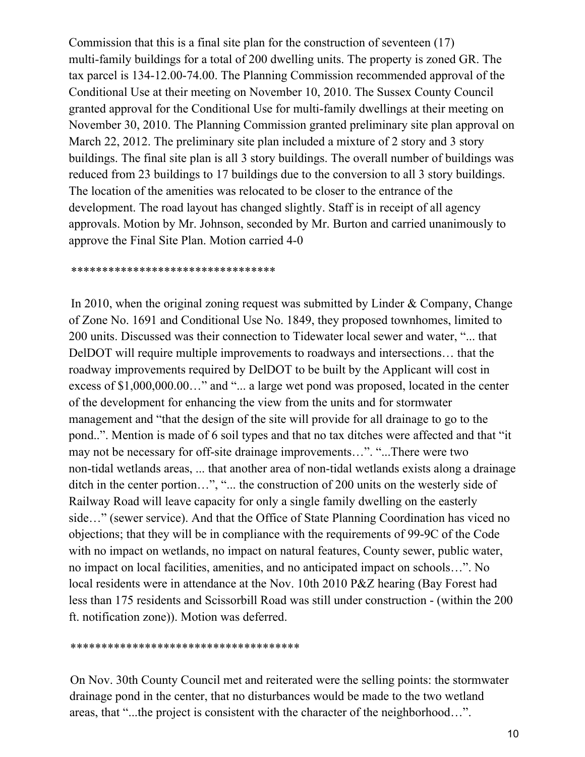Commission that this is a final site plan for the construction of seventeen (17) multi-family buildings for a total of 200 dwelling units. The property is zoned GR. The tax parcel is 134-12.00-74.00. The Planning Commission recommended approval of the Conditional Use at their meeting on November 10, 2010. The Sussex County Council granted approval for the Conditional Use for multi-family dwellings at their meeting on November 30, 2010. The Planning Commission granted preliminary site plan approval on March 22, 2012. The preliminary site plan included a mixture of 2 story and 3 story buildings. The final site plan is all 3 story buildings. The overall number of buildings was reduced from 23 buildings to 17 buildings due to the conversion to all 3 story buildings. The location of the amenities was relocated to be closer to the entrance of the development. The road layout has changed slightly. Staff is in receipt of all agency approvals. Motion by Mr. Johnson, seconded by Mr. Burton and carried unanimously to approve the Final Site Plan. Motion carried 4-0

\*\*\*\*\*\*\*\*\*\*\*\*\*\*\*\*\*\*\*\*\*\*\*\*\*\*\*\*\*\*\*\*\*

In 2010, when the original zoning request was submitted by Linder & Company, Change of Zone No. 1691 and Conditional Use No. 1849, they proposed townhomes, limited to 200 units. Discussed was their connection to Tidewater local sewer and water, "... that DelDOT will require multiple improvements to roadways and intersections… that the roadway improvements required by DelDOT to be built by the Applicant will cost in excess of \$1,000,000.00..." and "... a large wet pond was proposed, located in the center of the development for enhancing the view from the units and for stormwater management and "that the design of the site will provide for all drainage to go to the pond..". Mention is made of 6 soil types and that no tax ditches were affected and that "it may not be necessary for off-site drainage improvements…". "...There were two non-tidal wetlands areas, ... that another area of non-tidal wetlands exists along a drainage ditch in the center portion…", "... the construction of 200 units on the westerly side of Railway Road will leave capacity for only a single family dwelling on the easterly side…" (sewer service). And that the Office of State Planning Coordination has viced no objections; that they will be in compliance with the requirements of 99-9C of the Code with no impact on wetlands, no impact on natural features, County sewer, public water, no impact on local facilities, amenities, and no anticipated impact on schools…". No local residents were in attendance at the Nov. 10th 2010 P&Z hearing (Bay Forest had less than 175 residents and Scissorbill Road was still under construction - (within the 200 ft. notification zone)). Motion was deferred.

\*\*\*\*\*\*\*\*\*\*\*\*\*\*\*\*\*\*\*\*\*\*\*\*\*\*\*\*\*\*\*\*\*\*\*\*\*

On Nov. 30th County Council met and reiterated were the selling points: the stormwater drainage pond in the center, that no disturbances would be made to the two wetland areas, that "...the project is consistent with the character of the neighborhood…".